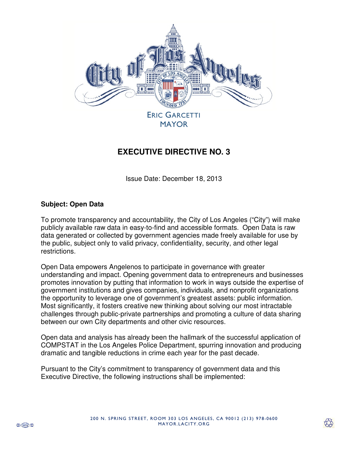

## **EXECUTIVE DIRECTIVE NO. 3**

Issue Date: December 18, 2013

## **Subject: Open Data**

To promote transparency and accountability, the City of Los Angeles ("City") will make publicly available raw data in easy-to-find and accessible formats. Open Data is raw data generated or collected by government agencies made freely available for use by the public, subject only to valid privacy, confidentiality, security, and other legal restrictions.

Open Data empowers Angelenos to participate in governance with greater understanding and impact. Opening government data to entrepreneurs and businesses promotes innovation by putting that information to work in ways outside the expertise of government institutions and gives companies, individuals, and nonprofit organizations the opportunity to leverage one of government's greatest assets: public information. Most significantly, it fosters creative new thinking about solving our most intractable challenges through public-private partnerships and promoting a culture of data sharing between our own City departments and other civic resources.

Open data and analysis has already been the hallmark of the successful application of COMPSTAT in the Los Angeles Police Department, spurring innovation and producing dramatic and tangible reductions in crime each year for the past decade.

Pursuant to the City's commitment to transparency of government data and this Executive Directive, the following instructions shall be implemented: